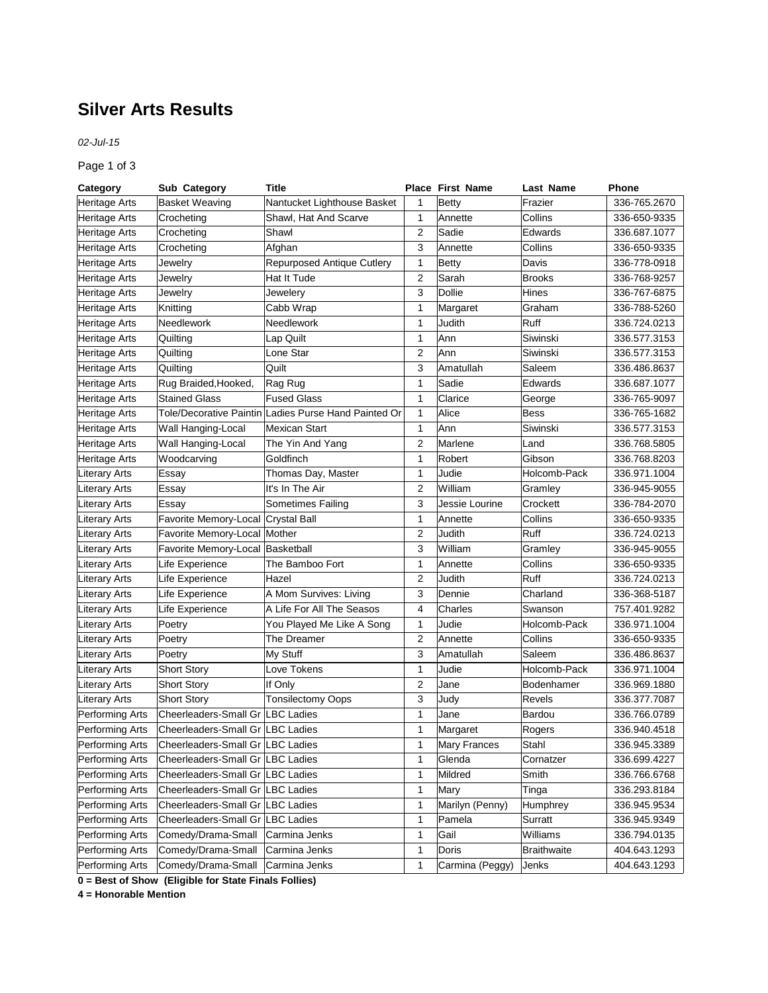## **Silver Arts Results**

*02-Jul-15*

Page 1 of 3

| Category             | Sub Category                       | <b>Title</b>                                         |                | <b>Place First Name</b> | Last Name     | Phone        |
|----------------------|------------------------------------|------------------------------------------------------|----------------|-------------------------|---------------|--------------|
| <b>Heritage Arts</b> | <b>Basket Weaving</b>              | Nantucket Lighthouse Basket                          | 1              | Betty                   | Frazier       | 336-765.2670 |
| Heritage Arts        | Crocheting                         | Shawl, Hat And Scarve                                | 1              | Annette                 | Collins       | 336-650-9335 |
| <b>Heritage Arts</b> | Crocheting                         | Shawl                                                | $\overline{2}$ | Sadie                   | Edwards       | 336.687.1077 |
| Heritage Arts        | Crocheting                         | Afghan                                               | 3              | Annette                 | Collins       | 336-650-9335 |
| Heritage Arts        | Jewelry                            | <b>Repurposed Antique Cutlery</b>                    | 1              | <b>Betty</b>            | Davis         | 336-778-0918 |
| Heritage Arts        | Jewelry                            | <b>Hat It Tude</b>                                   | $\overline{c}$ | Sarah                   | <b>Brooks</b> | 336-768-9257 |
| <b>Heritage Arts</b> | Jewelry                            | Jewelery                                             | 3              | Dollie                  | Hines         | 336-767-6875 |
| Heritage Arts        | Knitting                           | Cabb Wrap                                            | 1              | Margaret                | Graham        | 336-788-5260 |
| <b>Heritage Arts</b> | Needlework                         | Needlework                                           | 1              | Judith                  | Ruff          | 336.724.0213 |
| Heritage Arts        | Quilting                           | Lap Quilt                                            | 1              | Ann                     | Siwinski      | 336.577.3153 |
| Heritage Arts        | Quilting                           | Lone Star                                            | $\overline{2}$ | Ann                     | Siwinski      | 336.577.3153 |
| Heritage Arts        | Quilting                           | Quilt                                                | 3              | Amatullah               | Saleem        | 336.486.8637 |
| <b>Heritage Arts</b> | Rug Braided, Hooked,               | Rag Rug                                              | 1              | Sadie                   | Edwards       | 336.687.1077 |
| Heritage Arts        | <b>Stained Glass</b>               | <b>Fused Glass</b>                                   | 1              | Clarice                 | George        | 336-765-9097 |
| <b>Heritage Arts</b> |                                    | Tole/Decorative Paintin Ladies Purse Hand Painted Or | 1              | Alice                   | <b>Bess</b>   | 336-765-1682 |
| <b>Heritage Arts</b> | Wall Hanging-Local                 | <b>Mexican Start</b>                                 | 1              | Ann                     | Siwinski      | 336.577.3153 |
| <b>Heritage Arts</b> | Wall Hanging-Local                 | The Yin And Yang                                     | $\overline{2}$ | Marlene                 | Land          | 336.768.5805 |
| Heritage Arts        | Woodcarving                        | Goldfinch                                            | 1              | Robert                  | Gibson        | 336.768.8203 |
| <b>Literary Arts</b> | Essay                              | Thomas Day, Master                                   | 1              | Judie                   | Holcomb-Pack  | 336.971.1004 |
| <b>Literary Arts</b> | Essay                              | It's In The Air                                      | 2              | William                 | Gramley       | 336-945-9055 |
| <b>Literary Arts</b> | Essay                              | Sometimes Failing                                    | 3              | Jessie Lourine          | Crockett      | 336-784-2070 |
| <b>Literary Arts</b> | Favorite Memory-Local Crystal Ball |                                                      | 1              | Annette                 | Collins       | 336-650-9335 |
| <b>Literary Arts</b> | Favorite Memory-Local Mother       |                                                      | $\overline{2}$ | Judith                  | Ruff          | 336.724.0213 |
| <b>Literary Arts</b> | Favorite Memory-Local Basketball   |                                                      | 3              | William                 | Gramley       | 336-945-9055 |
| <b>Literary Arts</b> | Life Experience                    | The Bamboo Fort                                      | 1              | Annette                 | Collins       | 336-650-9335 |
| <b>Literary Arts</b> | Life Experience                    | Hazel                                                | $\overline{2}$ | Judith                  | Ruff          | 336.724.0213 |
| <b>Literary Arts</b> | Life Experience                    | A Mom Survives: Living                               | 3              | Dennie                  | Charland      | 336-368-5187 |
| <b>Literary Arts</b> | Life Experience                    | A Life For All The Seasos                            | 4              | Charles                 | Swanson       | 757.401.9282 |
| <b>Literary Arts</b> | Poetry                             | You Played Me Like A Song                            | 1              | Judie                   | Holcomb-Pack  | 336.971.1004 |
| <b>Literary Arts</b> | Poetry                             | The Dreamer                                          | 2              | Annette                 | Collins       | 336-650-9335 |
| <b>Literary Arts</b> | Poetry                             | My Stuff                                             | 3              | Amatullah               | Saleem        | 336.486.8637 |
| <b>Literary Arts</b> | <b>Short Story</b>                 | Love Tokens                                          | 1              | Judie                   | Holcomb-Pack  | 336.971.1004 |
| <b>Literary Arts</b> | <b>Short Story</b>                 | If Only                                              | 2              | Jane                    | Bodenhamer    | 336.969.1880 |
| <b>Literary Arts</b> | <b>Short Story</b>                 | <b>Tonsilectomy Oops</b>                             | 3              | Judy                    | Revels        | 336.377.7087 |
| Performing Arts      | Cheerleaders-Small Gr LBC Ladies   |                                                      | 1              | Jane                    | Bardou        | 336.766.0789 |
| Performing Arts      | Cheerleaders-Small Gr LBC Ladies   |                                                      | 1              | Margaret                | Rogers        | 336.940.4518 |
| Performing Arts      | Cheerleaders-Small Gr LBC Ladies   |                                                      | $\mathbf{1}$   | Mary Frances            | Stahl         | 336.945.3389 |
| Performing Arts      | Cheerleaders-Small Gr   LBC Ladies |                                                      | 1              | Glenda                  | Cornatzer     | 336.699.4227 |
| Performing Arts      | Cheerleaders-Small Gr LBC Ladies   |                                                      | 1              | Mildred                 | Smith         | 336.766.6768 |
| Performing Arts      | Cheerleaders-Small Gr LBC Ladies   |                                                      | 1              | Mary                    | Tinga         | 336.293.8184 |
| Performing Arts      | Cheerleaders-Small Gr LBC Ladies   |                                                      | 1              | Marilyn (Penny)         | Humphrey      | 336.945.9534 |
| Performing Arts      | Cheerleaders-Small Gr LBC Ladies   |                                                      | 1              | Pamela                  | Surratt       | 336.945.9349 |
| Performing Arts      | Comedy/Drama-Small                 | Carmina Jenks                                        | 1              | Gail                    | Williams      | 336.794.0135 |
| Performing Arts      | Comedy/Drama-Small                 | Carmina Jenks                                        | 1              | Doris                   | Braithwaite   | 404.643.1293 |
| Performing Arts      | Comedy/Drama-Small                 | Carmina Jenks                                        | 1              | Carmina (Peggy)         | Jenks         | 404.643.1293 |

**0 = Best of Show (Eligible for State Finals Follies)**

**4 = Honorable Mention**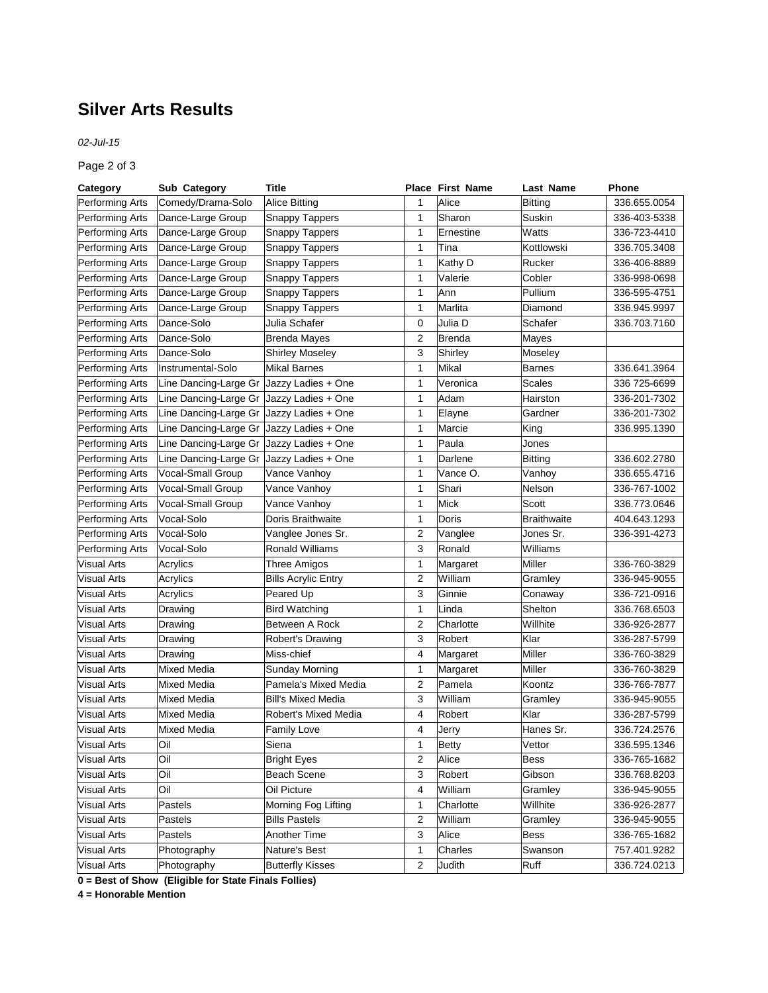## **Silver Arts Results**

*02-Jul-15*

Page 2 of 3

| Category           | Sub Category                               | Title                      |                | <b>Place First Name</b> | Last Name          | Phone        |
|--------------------|--------------------------------------------|----------------------------|----------------|-------------------------|--------------------|--------------|
| Performing Arts    | Comedy/Drama-Solo                          | <b>Alice Bitting</b>       | 1              | Alice                   | Bitting            | 336.655.0054 |
| Performing Arts    | Dance-Large Group                          | <b>Snappy Tappers</b>      | 1              | Sharon                  | Suskin             | 336-403-5338 |
| Performing Arts    | Dance-Large Group                          | <b>Snappy Tappers</b>      | 1              | Ernestine               | Watts              | 336-723-4410 |
| Performing Arts    | Dance-Large Group                          | <b>Snappy Tappers</b>      | 1              | Tina                    | Kottlowski         | 336.705.3408 |
| Performing Arts    | Dance-Large Group                          | <b>Snappy Tappers</b>      | 1              | Kathy D                 | Rucker             | 336-406-8889 |
| Performing Arts    | Dance-Large Group                          | <b>Snappy Tappers</b>      | 1              | Valerie                 | Cobler             | 336-998-0698 |
| Performing Arts    | Dance-Large Group                          | Snappy Tappers             | 1              | Ann                     | Pullium            | 336-595-4751 |
| Performing Arts    | Dance-Large Group                          | <b>Snappy Tappers</b>      | 1              | Marlita                 | Diamond            | 336.945.9997 |
| Performing Arts    | Dance-Solo                                 | Julia Schafer              | 0              | Julia D                 | Schafer            | 336.703.7160 |
| Performing Arts    | Dance-Solo                                 | <b>Brenda Mayes</b>        | $\overline{c}$ | <b>Brenda</b>           | Mayes              |              |
| Performing Arts    | Dance-Solo                                 | <b>Shirley Moseley</b>     | 3              | Shirley                 | Moseley            |              |
| Performing Arts    | Instrumental-Solo                          | Mikal Barnes               | 1              | Mikal                   | <b>Barnes</b>      | 336.641.3964 |
| Performing Arts    | Line Dancing-Large Gr   Jazzy Ladies + One |                            | 1              | Veronica                | Scales             | 336 725-6699 |
| Performing Arts    | Line Dancing-Large Gr Jazzy Ladies + One   |                            | 1              | Adam                    | Hairston           | 336-201-7302 |
| Performing Arts    | Line Dancing-Large Gr Jazzy Ladies + One   |                            | 1              | Elayne                  | Gardner            | 336-201-7302 |
| Performing Arts    | Line Dancing-Large Gr Jazzy Ladies + One   |                            | 1              | Marcie                  | King               | 336.995.1390 |
| Performing Arts    | Line Dancing-Large Gr Jazzy Ladies + One   |                            | 1              | Paula                   | Jones              |              |
| Performing Arts    | Line Dancing-Large Gr Jazzy Ladies + One   |                            | 1              | Darlene                 | Bitting            | 336.602.2780 |
| Performing Arts    | Vocal-Small Group                          | Vance Vanhoy               | 1              | Vance O.                | Vanhoy             | 336.655.4716 |
| Performing Arts    | Vocal-Small Group                          | Vance Vanhoy               | 1              | Shari                   | Nelson             | 336-767-1002 |
| Performing Arts    | Vocal-Small Group                          | Vance Vanhoy               | 1              | Mick                    | Scott              | 336.773.0646 |
| Performing Arts    | Vocal-Solo                                 | Doris Braithwaite          | 1              | Doris                   | <b>Braithwaite</b> | 404.643.1293 |
| Performing Arts    | Vocal-Solo                                 | Vanglee Jones Sr.          | $\overline{2}$ | Vanglee                 | Jones Sr.          | 336-391-4273 |
| Performing Arts    | Vocal-Solo                                 | <b>Ronald Williams</b>     | 3              | Ronald                  | Williams           |              |
| <b>Visual Arts</b> | Acrylics                                   | Three Amigos               | 1              | Margaret                | Miller             | 336-760-3829 |
| <b>Visual Arts</b> | Acrylics                                   | <b>Bills Acrylic Entry</b> | $\overline{c}$ | William                 | Gramley            | 336-945-9055 |
| <b>Visual Arts</b> | Acrylics                                   | Peared Up                  | 3              | Ginnie                  | Conaway            | 336-721-0916 |
| <b>Visual Arts</b> | Drawing                                    | <b>Bird Watching</b>       | 1              | Linda                   | Shelton            | 336.768.6503 |
| <b>Visual Arts</b> | Drawing                                    | Between A Rock             | $\overline{2}$ | Charlotte               | Willhite           | 336-926-2877 |
| <b>Visual Arts</b> | Drawing                                    | Robert's Drawing           | 3              | Robert                  | Klar               | 336-287-5799 |
| <b>Visual Arts</b> | Drawing                                    | Miss-chief                 | 4              | Margaret                | Miller             | 336-760-3829 |
| <b>Visual Arts</b> | Mixed Media                                | <b>Sunday Morning</b>      | 1              | Margaret                | Miller             | 336-760-3829 |
| <b>Visual Arts</b> | Mixed Media                                | Pamela's Mixed Media       | $\overline{c}$ | Pamela                  | Koontz             | 336-766-7877 |
| <b>Visual Arts</b> | Mixed Media                                | <b>Bill's Mixed Media</b>  | 3              | William                 | Gramley            | 336-945-9055 |
| <b>Visual Arts</b> | Mixed Media                                | Robert's Mixed Media       | 4              | Robert                  | Klar               | 336-287-5799 |
| <b>Visual Arts</b> | Mixed Media                                | <b>Family Love</b>         | 4              | Jerry                   | Hanes Sr.          | 336.724.2576 |
| Visual Arts        | Oil                                        | Siena                      | 1              | Betty                   | Vettor             | 336.595.1346 |
| Visual Arts        | Oil                                        | <b>Bright Eyes</b>         | 2              | Alice                   | <b>Bess</b>        | 336-765-1682 |
| <b>Visual Arts</b> | Oil                                        | Beach Scene                | 3              | Robert                  | Gibson             | 336.768.8203 |
| <b>Visual Arts</b> | Oil                                        | Oil Picture                | 4              | William                 | Gramley            | 336-945-9055 |
| <b>Visual Arts</b> | Pastels                                    | Morning Fog Lifting        | 1              | Charlotte               | Willhite           | 336-926-2877 |
| <b>Visual Arts</b> | Pastels                                    | <b>Bills Pastels</b>       | 2              | William                 | Gramley            | 336-945-9055 |
| <b>Visual Arts</b> | Pastels                                    | <b>Another Time</b>        | 3              | Alice                   | <b>Bess</b>        | 336-765-1682 |
| <b>Visual Arts</b> | Photography                                | Nature's Best              | 1              | Charles                 | Swanson            | 757.401.9282 |
| <b>Visual Arts</b> | Photography                                | <b>Butterfly Kisses</b>    | 2              | Judith                  | Ruff               | 336.724.0213 |

**0 = Best of Show (Eligible for State Finals Follies)**

**4 = Honorable Mention**